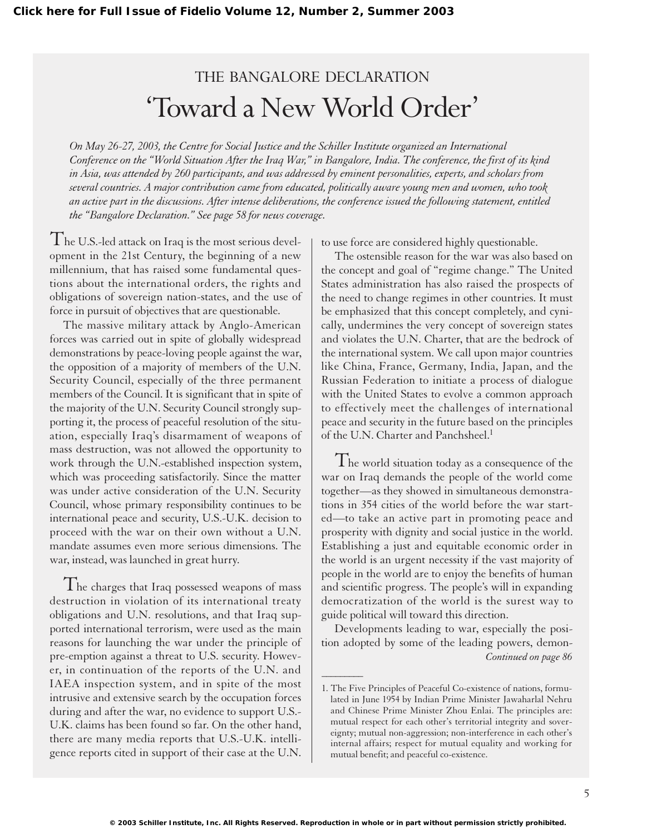## THE BANGALORE DECLARATION 'Toward a New World Order'

*On May 26-27, 2003, the Centre for Social Justice and the Schiller Institute organized an International Conference on the "World Situation After the Iraq War," in Bangalore, India. The conference, the first of its kind in Asia, was attended by 260 participants, and was addressed by eminent personalities, experts, and scholars from several countries. A major contribution came from educated, politically aware young men and women, who took an active part in the discussions. After intense deliberations, the conference issued the following statement, entitled the "Bangalore Declaration." See page 58 for news coverage.*

 $\overline{1}$  he U.S.-led attack on Iraq is the most serious development in the 21st Century, the beginning of a new millennium, that has raised some fundamental questions about the international orders, the rights and obligations of sovereign nation-states, and the use of force in pursuit of objectives that are questionable.

The massive military attack by Anglo-American forces was carried out in spite of globally widespread demonstrations by peace-loving people against the war, the opposition of a majority of members of the U.N. Security Council, especially of the three permanent members of the Council. It is significant that in spite of the majority of the U.N. Security Council strongly supporting it, the process of peaceful resolution of the situation, especially Iraq's disarmament of weapons of mass destruction, was not allowed the opportunity to work through the U.N.-established inspection system, which was proceeding satisfactorily. Since the matter was under active consideration of the U.N. Security Council, whose primary responsibility continues to be international peace and security, U.S.-U.K. decision to proceed with the war on their own without a U.N. mandate assumes even more serious dimensions. The war, instead, was launched in great hurry.

I he charges that Iraq possessed weapons of mass destruction in violation of its international treaty obligations and U.N. resolutions, and that Iraq supported international terrorism, were used as the main reasons for launching the war under the principle of pre-emption against a threat to U.S. security. However, in continuation of the reports of the U.N. and IAEA inspection system, and in spite of the most intrusive and extensive search by the occupation forces during and after the war, no evidence to support U.S.- U.K. claims has been found so far. On the other hand, there are many media reports that U.S.-U.K. intelligence reports cited in support of their case at the U.N. to use force are considered highly questionable.

The ostensible reason for the war was also based on the concept and goal of "regime change." The United States administration has also raised the prospects of the need to change regimes in other countries. It must be emphasized that this concept completely, and cynically, undermines the very concept of sovereign states and violates the U.N. Charter, that are the bedrock of the international system. We call upon major countries like China, France, Germany, India, Japan, and the Russian Federation to initiate a process of dialogue with the United States to evolve a common approach to effectively meet the challenges of international peace and security in the future based on the principles of the U.N. Charter and Panchsheel.<sup>1</sup>

The world situation today as a consequence of the war on Iraq demands the people of the world come together—as they showed in simultaneous demonstrations in 354 cities of the world before the war started—to take an active part in promoting peace and prosperity with dignity and social justice in the world. Establishing a just and equitable economic order in the world is an urgent necessity if the vast majority of people in the world are to enjoy the benefits of human and scientific progress. The people's will in expanding democratization of the world is the surest way to guide political will toward this direction.

Developments leading to war, especially the position adopted by some of the leading powers, demon- *Continued on page 86*

 $\overline{\phantom{a}}$ 

<sup>1.</sup> The Five Principles of Peaceful Co-existence of nations, formulated in June 1954 by Indian Prime Minister Jawaharlal Nehru and Chinese Prime Minister Zhou Enlai. The principles are: mutual respect for each other's territorial integrity and sovereignty; mutual non-aggression; non-interference in each other's internal affairs; respect for mutual equality and working for mutual benefit; and peaceful co-existence.